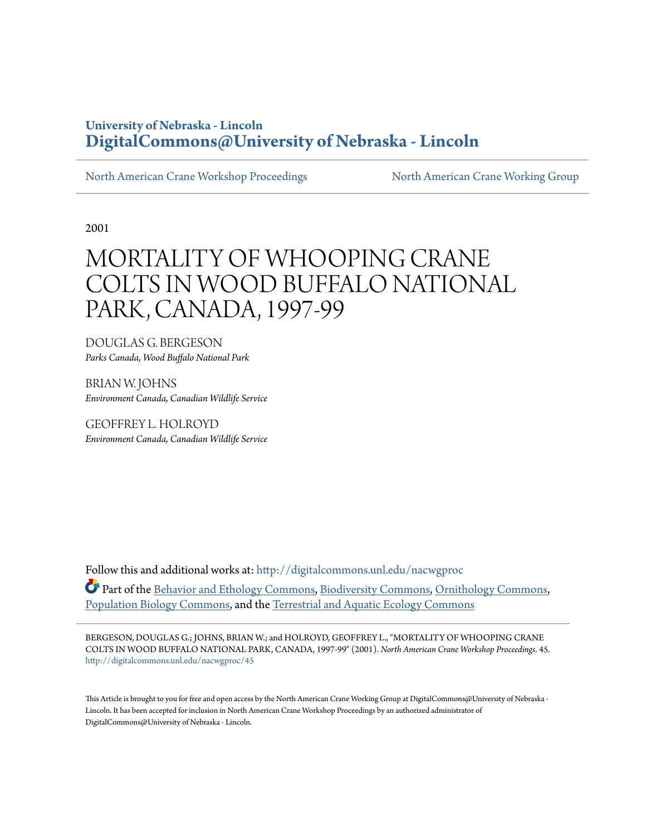## **University of Nebraska - Lincoln [DigitalCommons@University of Nebraska - Lincoln](http://digitalcommons.unl.edu?utm_source=digitalcommons.unl.edu%2Fnacwgproc%2F45&utm_medium=PDF&utm_campaign=PDFCoverPages)**

[North American Crane Workshop Proceedings](http://digitalcommons.unl.edu/nacwgproc?utm_source=digitalcommons.unl.edu%2Fnacwgproc%2F45&utm_medium=PDF&utm_campaign=PDFCoverPages) [North American Crane Working Group](http://digitalcommons.unl.edu/nacwg?utm_source=digitalcommons.unl.edu%2Fnacwgproc%2F45&utm_medium=PDF&utm_campaign=PDFCoverPages)

2001

# MORTALITY OF WHOOPING CRANE COLTS IN WOOD BUFFALO NATIONAL PARK, CANADA, 1997-99

DOUGLAS G. BERGESON *Parks Canada, Wood Buffalo National Park*

BRIAN W. JOHNS *Environment Canada, Canadian Wildlife Service*

GEOFFREY L. HOLROYD *Environment Canada, Canadian Wildlife Service*

Follow this and additional works at: [http://digitalcommons.unl.edu/nacwgproc](http://digitalcommons.unl.edu/nacwgproc?utm_source=digitalcommons.unl.edu%2Fnacwgproc%2F45&utm_medium=PDF&utm_campaign=PDFCoverPages) Part of the [Behavior and Ethology Commons,](http://network.bepress.com/hgg/discipline/15?utm_source=digitalcommons.unl.edu%2Fnacwgproc%2F45&utm_medium=PDF&utm_campaign=PDFCoverPages) [Biodiversity Commons,](http://network.bepress.com/hgg/discipline/1127?utm_source=digitalcommons.unl.edu%2Fnacwgproc%2F45&utm_medium=PDF&utm_campaign=PDFCoverPages) [Ornithology Commons](http://network.bepress.com/hgg/discipline/1190?utm_source=digitalcommons.unl.edu%2Fnacwgproc%2F45&utm_medium=PDF&utm_campaign=PDFCoverPages), [Population Biology Commons,](http://network.bepress.com/hgg/discipline/19?utm_source=digitalcommons.unl.edu%2Fnacwgproc%2F45&utm_medium=PDF&utm_campaign=PDFCoverPages) and the [Terrestrial and Aquatic Ecology Commons](http://network.bepress.com/hgg/discipline/20?utm_source=digitalcommons.unl.edu%2Fnacwgproc%2F45&utm_medium=PDF&utm_campaign=PDFCoverPages)

BERGESON, DOUGLAS G.; JOHNS, BRIAN W.; and HOLROYD, GEOFFREY L., "MORTALITY OF WHOOPING CRANE COLTS IN WOOD BUFFALO NATIONAL PARK, CANADA, 1997-99" (2001). *North American Crane Workshop Proceedings*. 45. [http://digitalcommons.unl.edu/nacwgproc/45](http://digitalcommons.unl.edu/nacwgproc/45?utm_source=digitalcommons.unl.edu%2Fnacwgproc%2F45&utm_medium=PDF&utm_campaign=PDFCoverPages)

This Article is brought to you for free and open access by the North American Crane Working Group at DigitalCommons@University of Nebraska - Lincoln. It has been accepted for inclusion in North American Crane Workshop Proceedings by an authorized administrator of DigitalCommons@University of Nebraska - Lincoln.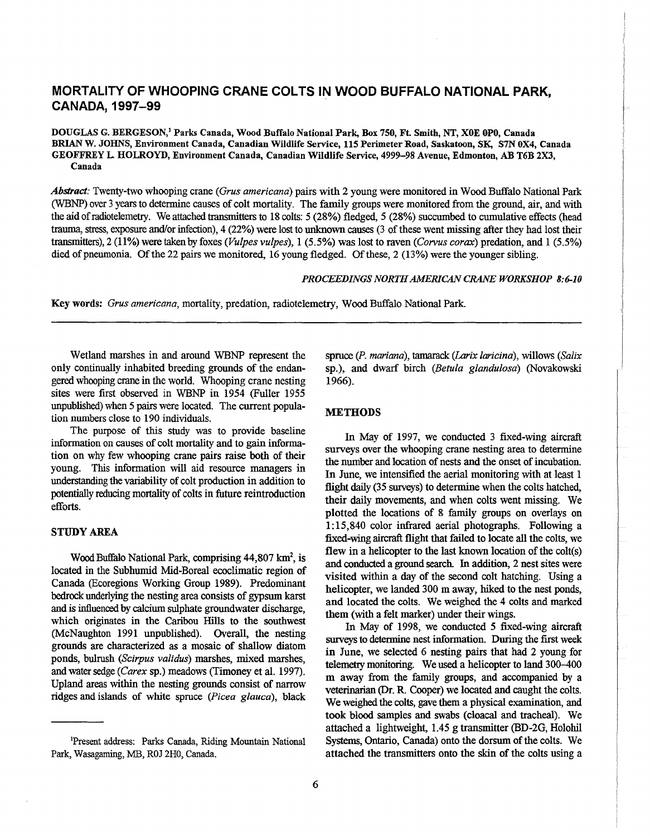### **MORTALITY OF WHOOPING CRANE COLTS IN WOOD BUFFALO NATIONAL PARK, CANADA, 1997-99**

DOUGLAS G. BERGESON/ Parks Canada, Wood Buffalo National Park, Box 750, Ft Smith, NT, XOE OPO, Canada BRIAN W. JOHNS, Environment Canada, Canadian Wildlife Service, 115 Perimeter Road, Saskatoon, SK, S7N OX4, Canada GEOFFREY L HOLROYD, Environment Canada, Canadian Wildlife Service, 4999-98 Avenue, Edmonton, AB T6B 2X3, Canada

*Abstract:* Twenty-two whooping crane *(Grus americana)* pairs with 2 young were monitored in Wood Buffalo National Park (WBNP) over 3 years to determine causes of colt mortality. The family groups were monitored from the ground, air, and with the aid of radiotelemetry. We attached transmitters to 18 colts: 5 (28%) fledged, 5 (28%) succumbed to cumulative effects (head trauma, stress, exposure and/or infection), 4 (22%) were lost to unknown causes (3 of these went missing after they had lost their transmitters), 2 (11%) were taken by foxes *(Vulpes vulpes),* 1 (5.5%) was lost to raven *(Corvus corax)* predation, and 1 (5.5%) died of pneumonia. Of the 22 pairs we monitored, 16 young fledged. Of these, 2 (13%) were the younger sibling.

#### *PROCEEDINGS NORTH AMERICAN CRANE WORKSHOP 8:6-10*

Key words: *Grus americana,* mortality, predation, radiotelemetry, Wood Buffalo National Park.

Wetland marshes in and around WBNP represent the only continually inhabited breeding grounds of the endangered whooping crane in the world. Whooping crane nesting sites were first observed in WBNP in 1954 (Fuller 1955 unpublished) when 5 pairs were located. The current population numbers close to 190 individuals.

The purpose of this study was to provide baseline information on causes of colt mortality and to gain information on why few whooping crane pairs raise both of their young. This information will aid resource managers in understanding the variability of colt production in addition to potentially reducing mortality of colts in future reintroduction efforts.

#### STUDY AREA

Wood Buffalo National Park, comprising 44,807 km<sup>2</sup>, is located in the Subhumid Mid-Boreal ecoclimatic region of Canada (Ecoregions Working Group 1989). Predominant bedrock underlying the nesting area consists of gypsum karst and is influenced by calcium sulphate groundwater discharge, which originates in the Caribou Hills to the southwest (McNaughton 1991 unpublished). Overall, the nesting grounds are characterized as a mosaic of shallow diatom ponds, bulrush *(Scirpus validus)* marshes, mixed marshes, and water sedge *(Carex* sp.) meadows (Timoney et al. 1997). Upland areas within the nesting grounds consist of narrow ridges and islands of white spruce *(Picea glauca),* black

spruce *(P. mariana),* tamarack *(Larix laricina),* willows *(Salix*  sp.), and dwarf birch *(Betula glandulosa)* (Novakowski 1966).

#### **METHODS**

In May of 1997, we conducted 3 fixed-wing aircraft surveys over the whooping crane nesting area to determine the number and location of nests and the onset of incubation. In June, we intensified the aerial monitoring with at least 1 flight daily (35 surveys) to determine when the colts hatched, their daily movements, and when colts went missing. We plotted the locations of 8 family groups on overlays on 1: 15,840 color infrared aerial photographs. Following a fixed-wing aircraft flight that failed to locate all the colts, we flew in a helicopter to the last known location of the coIt(s) and conducted a ground search. In addition, 2 nest sites were visited within a day of the second colt hatching. Using a helicopter, we landed 300 m away, hiked to the nest ponds, and located the colts. We weighed the 4 colts and marked them (with a felt marker) under their wings.

In May of 1998, we conducted 5 fixed-wing aircraft surveys to determine nest information. During the first week in June, we selected 6 nesting pairs that had 2 young for telemetry monitoring. We used a helicopter to land 300-400 m away from the family groups, and accompanied by a veterinarian (Dr. R. Cooper) we located and caught the colts. We weighed the colts, gave them a physical examination, and took blood samples and swabs (cloacal and tracheal). We attached a lightweight, 1.45 g transmitter (BD-2G, Holohil Systems, Ontario, Canada) onto the dorsum of the colts. We attached the transmitters onto the skin of the colts using a

<sup>&#</sup>x27;Present address: Parks Canada, Riding Mountain National Park, Wasagaming, MB, ROJ 2HO, Canada.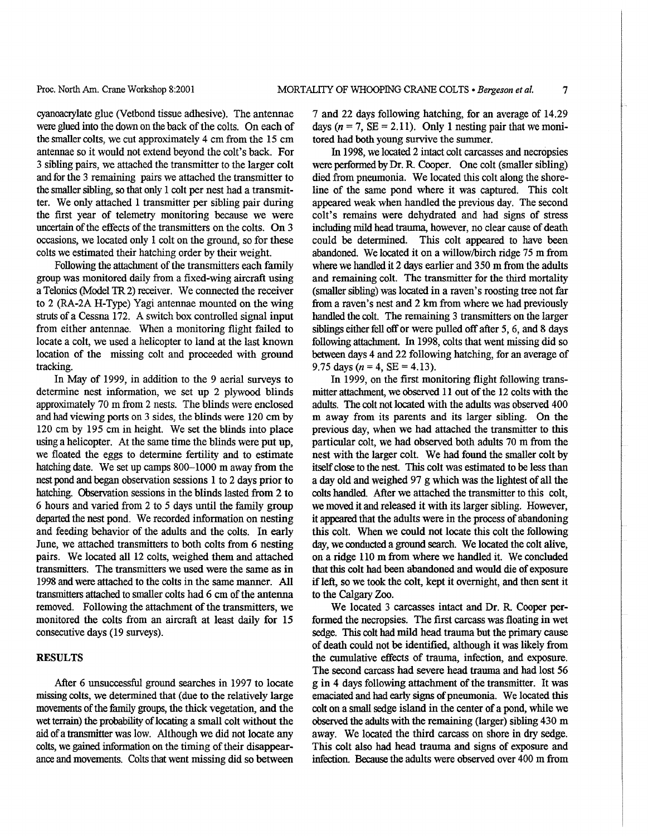cyanoacrylate glue (Vetbond tissue adhesive). The antennae were glued into the down on the back of the colts. On each of the smaller colts, we cut approximately 4 cm from the 15 cm antennae so it would not extend beyond the colt's back. For 3 sibling pairs, we attached the transmitter to the larger colt and for the 3 remaining pairs we attached the transmitter to the smaller sibling, so that only 1 colt per nest had a transmitter. We only attached 1 transmitter per sibling pair during the first year of telemetry monitoring because we were uncertain of the effects of the transmitters on the colts. On 3 occasions, we located only 1 colt on the ground, so for these colts we estimated their hatching order by their weight.

Following the attachment of the transmitters each family group was monitored daily from a fixed-wing aircraft using a Telonies (Model TR2) receiver. We connected the receiver to 2 (RA-2A H-Type) Yagi antennae mounted on the wing struts of a Cessna 172. A switch box controlled signal input from either antennae. When a monitoring flight failed to locate a colt, we used a helicopter to land at the last known location of the missing colt and proceeded with ground tracking.

In May of 1999, in addition to the 9 aerial surveys to determine nest information, we set up 2 plywood blinds approximately 70 m from 2 nests. The blinds were enclosed and had viewing ports on 3 sides, the blinds were 120 cm by 120 cm by 195 cm in height. We set the blinds into place using a helicopter. At the same time the blinds were put up, we floated the eggs to determine fertility and to estimate hatching date. We set up camps 800-1000 m away from the nest pond and began observation sessions 1 to 2 days prior to hatching. Observation sessions in the blinds lasted from 2 to 6 hours and varied from 2 to 5 days until the family group departed the nest pond. We recorded information on nesting and feeding behavior of the adults and the colts. In early June, we attached transmitters to both colts from 6 nesting pairs. We located all 12 colts, weighed them and attached transmitters. The transmitters we used were the same as in 1998 and were attached to the colts in the same manner. All transmitters attached to smaller colts had 6 cm of the antenna removed. Following the attachment of the transmitters, we monitored the colts from an aircraft at least daily for 15 consecutive days (19 surveys).

#### **RESULTS**

After 6 unsuccessful ground searches in 1997 to locate missing colts, we determined that (due to the relatively large movements of the family groups, the thick vegetation, and the wet terrain) the probability of locating a small colt without the aid of a transmitter was low. Although we did not locate any colts, we gained information on the timing of their disappearance and movements. Colts that went missing did so between 7 and 22 days following hatching, for an average of 14.29 days ( $n = 7$ , SE = 2.11). Only 1 nesting pair that we monitored had both young survive the summer.

In 1998, we located 2 intact colt carcasses and necropsies were performed by Dr. R. Cooper. One colt (smaller sibling) died from pneumonia. We located this colt along the shoreline of the same pond where it was captured. This colt appeared weak when handled the previous day. The second colt's remains were dehydrated and had signs of stress including mild head trauma, however, no clear cause of death could be determined. This colt appeared to have been abandoned. We located it on a willow/birch ridge 75 m from where we handled it 2 days earlier and 350 m from the adults and remaining colt. The transmitter for the third mortality (smaller sibling) was located in a raven's roosting tree not far from a raven's nest and 2 km from where we had previously handled the colt. The remaining 3 transmitters on the larger siblings either fell off or were pulled off after 5, 6, and 8 days following attachment. In 1998, colts that went missing did so between days 4 and 22 following hatching, for an average of 9.75 days ( $n = 4$ , SE = 4.13).

In 1999, on the first monitoring flight following transmitter attachment, we observed 11 out of the 12 colts with the adults. The colt not located with the adults was observed 400 m away from its parents and its larger sibling. On the previous day, when we had attached the transmitter to this particular colt, we had observed both adults 70 m from the nest with the larger colt. We had found the smaller colt by itself close to the nest. This colt was estimated to be less than a day old and weighed 97 g which was the lightest of all the colts handled. After we attached the transmitter to this colt, we moved it and released it with its larger sibling. However, it appeared that the adults were in the process of abandoning this colt. When we could not locate this colt the following day, we conducted a ground search. We located the colt alive, on a ridge 110 m from where we handled it. We concluded that this colt had been abandoned and would die of exposure if left, so we took the colt, kept it overnight, and then sent it to the Calgary Zoo.

We located 3 carcasses intact and Dr. R. Cooper performed the necropsies. The first carcass was floating in wet sedge. This colt had mild head trauma but the primary cause of death could not be identified, although it was likely from the cumulative effects of trauma, infection, and exposure. The second carcass had severe head trauma and had lost 56 g in 4 days following attachment of the transmitter. It was emaciated and had early signs of pneumonia. We located this colt on a small sedge island in the center of a pond, while we observed the adults with the remaining (larger) sibling 430 m away. We located the third carcass on shore in dry sedge. This colt also had head trauma and signs of exposure and infection. Because the adults were observed over 400 m from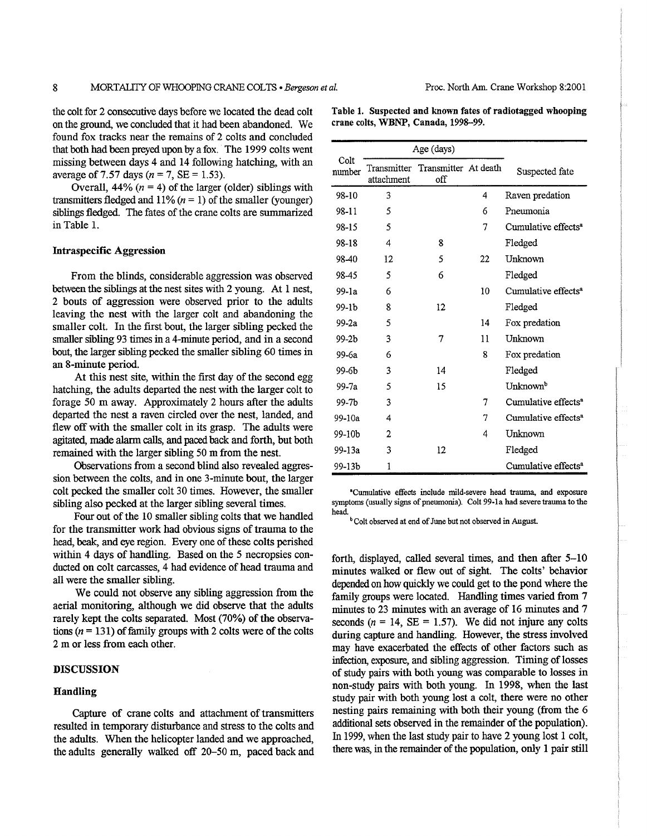the colt for 2 consecutive days before we located the dead colt on the ground, we concluded that it had been abandoned. We found fox tracks near the remains of 2 colts and concluded that both had been preyed upon by a fox. The 1999 colts went missing between days 4 and 14 following hatching, with an average of 7.57 days ( $n = 7$ , SE = 1.53).

Overall, 44% ( $n = 4$ ) of the larger (older) siblings with transmitters fledged and  $11\%$  ( $n = 1$ ) of the smaller (younger) siblings fledged. The fates of the crane colts are summarized in Table 1.

#### Intraspecific Aggression

From the blinds, considerable aggression was observed between the siblings at the nest sites with 2 young. At 1 nest, 2 bouts of aggression were observed prior to the adults leaving the nest with the larger colt and abandoning the smaller colt. In the first bout, the larger sibling pecked the smaller sibling 93 times in a 4-minute period, and in a second bout, the larger sibling pecked the smaller sibling 60 times in an 8-minute period.

At this nest site, within the first day of the second egg hatching, the adults departed the nest with the larger colt to forage 50 m away. Approximately 2 hours after the adults departed the nest a raven circled over the nest, landed, and flew off with the smaller colt in its grasp. The adults were agitated, made alarm calls, and paced back and forth, but both remained with the larger sibling 50 m from the nest.

Observations from a second blind also revealed aggression between the colts, and in one 3-minute bout, the larger colt pecked the smaller colt 30 times. However, the smaller sibling also pecked at the larger sibling several times.

Four out of the 10 smaller sibling colts that we handled for the transmitter work had obvious signs of trauma to the head, beak, and eye region. Every one of these colts perished within 4 days of handling. Based on the 5 necropsies conducted on colt carcasses, 4 had evidence of head trauma and all were the smaller sibling.

We could not observe any sibling aggression from the aerial monitoring, although we did observe that the adults rarely kept the colts separated. Most (70%) of the observations ( $n = 131$ ) of family groups with 2 colts were of the colts 2 m or less from each other.

#### DISCUSSION

#### Handling

Capture of crane colts and attachment of transmitters resulted in temporary disturbance and stress to the colts and the adults. When the helicopter landed and we approached, the adults generally walked off 20-50 m, paced back and

|                | Age (days) |                                         |    |                                 |
|----------------|------------|-----------------------------------------|----|---------------------------------|
| Colt<br>number | attachment | Transmitter Transmitter At death<br>off |    | Suspected fate                  |
| 98-10          | 3          |                                         | 4  | Raven predation                 |
| 98-11          | 5          |                                         | 6  | Pneumonia                       |
| 98-15          | 5          |                                         | 7  | Cumulative effects <sup>a</sup> |
| 98-18          | 4          | 8                                       |    | Fledged                         |
| 98-40          | 12         | 5                                       | 22 | Unknown                         |
| 98-45          | 5          | 6                                       |    | Fledged                         |
| 99-1a          | 6          |                                         | 10 | Cumulative effects <sup>a</sup> |
| 99-1b          | 8          | 12                                      |    | Fledged                         |
| $99-2a$        | 5          |                                         | 14 | Fox predation                   |
| 99-2b          | 3          | 7                                       | 11 | Unknown                         |
| 99-6a          | 6          |                                         | 8  | Fox predation                   |
| 99-6b          | 3          | 14                                      |    | Fledged                         |
| 99-7a          | 5          | 15                                      |    | Unknown <sup>b</sup>            |
| 99-7b          | 3          |                                         | 7  | Cumulative effects <sup>a</sup> |
| 99-10a         | 4          |                                         | 7  | Cumulative effects <sup>a</sup> |
| 99-10b         | 2          |                                         | 4  | Unknown                         |
| 99-13a         | 3          | 12                                      |    | Fledged                         |
| 99-13b         | 1          |                                         |    | Cumulative effects <sup>a</sup> |

'Cumulative effects include mild-severe head trauma, and exposure symptoms (usually signs of pneumonia). Colt 99-1a had severe trauma to the head

<sup>b</sup> Colt observed at end of June but not observed in August.

forth, displayed, called several times, and then after 5-10 minutes walked or flew out of sight. The colts' behavior depended on how quickly we could get to the pond where the family groups were located. Handling times varied from 7 minutes to 23 minutes with an average of 16 minutes and 7 seconds ( $n = 14$ , SE = 1.57). We did not injure any colts during capture and handling. However, the stress involved may have exacerbated the effects of other factors such as infection, exposure, and sibling aggression. Timing of losses of study pairs with both young was comparable to losses in non-study pairs with both young. In 1998, when the last study pair with both young lost a colt, there were no other nesting pairs remaining with both their young (from the 6 additional sets observed in the remainder of the population). In 1999, when the last study pair to have 2 young lost 1 colt, there was, in the remainder of the population, only 1 pair still

Table 1. Suspected and known fates of radiotagged whooping crane colts, WBNP, Canada, 1998-99.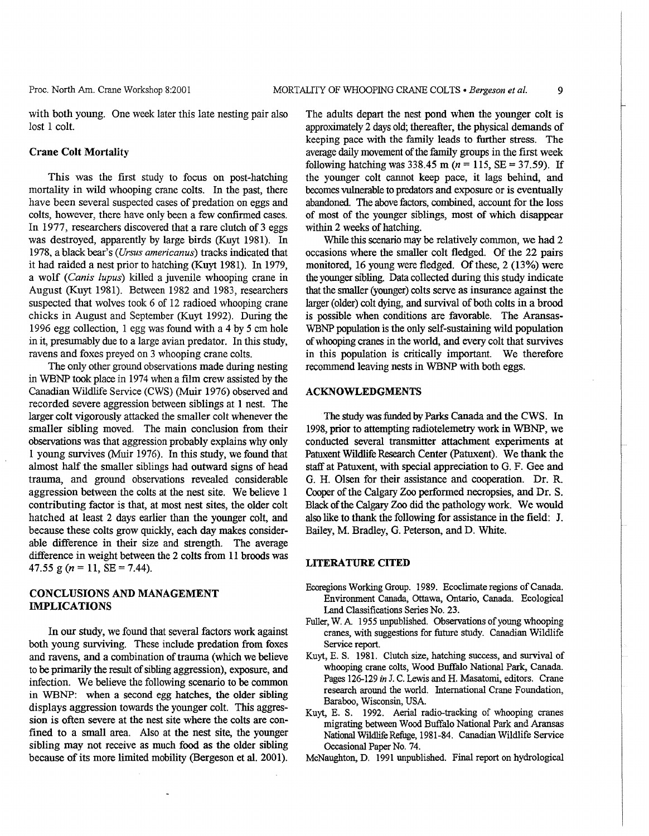with both young. One week later this late nesting pair also lost 1 colt.

#### Crane Colt Mortality

This was the first study to focus on post-hatching mortality in wild whooping crane colts. In the past, there have been several suspected cases of predation on eggs and colts, however, there have only been a few confirmed cases. In 1977, researchers discovered that a rare clutch of 3 eggs was destroyed, apparently by large birds (Kuyt 1981). In 1978, a black bear's *(Ursus americanus)* tracks indicated that it had raided a nest prior to hatching (Kuyt 1981). In 1979, a wolf *(Canis lupus)* killed a juvenile whooping crane in August (Kuyt 1981). Between 1982 and 1983, researchers suspected that wolves took 6 of 12 radioed whooping crane chicks in August and September (Kuyt 1992). During the 1996 egg collection, 1 egg was found with a 4 by 5 cm hole in it, presmnably due to a large avian predator. In this study, ravens and foxes preyed on 3 whooping crane colts.

The only other ground observations made during nesting in WBNP took place in 1974 when a film crew assisted by the Canadian Wildlife Service (CWS) (Muir 1976) observed and recorded severe aggression between siblings at 1 nest. The larger colt vigorously attacked the smaller colt whenever the smaller sibling moved. The main conclusion from their observations was that aggression probably explains why only 1 young survives (Muir 1976). In this study, we found that almost half the smaller siblings had outward signs of head trawna, and ground observations revealed considerable aggression between the colts at the nest site. We believe 1 contributing factor is that, at most nest sites, the older colt hatched at least 2 days earlier than the younger colt, and because these colts grow quickly, each day makes considerable difference in their size and strength. The average difference in weight between the 2 colts from 11 broods was 47.55 g ( $n = 11$ ,  $SE = 7.44$ ).

#### CONCLUSIONS AND MANAGEMENT IMPLICATIONS

In our study, we found that several factors work against both young surviving. These include predation from foxes and ravens, and a combination of trauma (which we believe to be primarily the result of sibling aggression), exposure, and infection. We believe the following scenario to be common in WBNP: when a second egg hatches, the older sibling displays aggression towards the younger colt. This aggression is often severe at the nest site where the colts are confined to a small area. Also at the nest site, the younger sibling may not receive as much food as the older sibling because of its more limited mobility (Bergeson et al. 2001).

The adults depart the nest pond when the younger colt is approximately 2 days old; thereafter, the physical demands of keeping pace with the family leads to further stress. The average daily movement of the family groups in the first week following hatching was 338.45 m ( $n = 115$ , SE = 37.59). If the younger colt cannot keep pace, it lags behind, and becomes vulnerable to predators and exposure or is eventually abandoned. The above factors, combined, account for the loss of most of the younger siblings, most of which disappear within 2 weeks of hatching.

While this scenario may be relatively common, we had 2 occasions where the smaller colt fledged. Of the 22 pairs monitored, 16 young were fledged. Of these, 2 (13%) were the younger sibling. Data collected during this study indicate that the smaller (younger) colts serve as insurance against the larger (older) colt dying, and survival of both colts in a brood is possible when conditions are favorable. The Aransas-WBNP population is the only self-sustaining wild population of whooping cranes in the world, and every colt that survives in this population is critically important. We therefore recommend leaving nests in WBNP with both eggs.

#### ACKNOWLEDGMENTS

The study was funded by Parks Canada and the CWS. In 1998, prior to attempting radiotelemetry work in WBNP, we conducted several transmitter attachment experiments at Patuxent Wildlife Research Center (Patuxent). We thank the staff at Patuxent, with special appreciation to G. F. Gee and G. H. Olsen for their assistance and cooperation. Dr. R Cooper of the Calgary Zoo performed necropsies, and Dr. S. Black of the Calgary Zoo did the pathology work. We would also like to thank the following for assistance in the field: J. Bailey, M. Bradley, G. Peterson, and D. White.

#### LITERATURE CITED

- Ecoregions Working Group. 1989. Ecoclimate regions of Canada. Environment Canada, Ottawa, Ontario, Canada. Ecological Land Classifications Series No. 23.
- Fuller, W. A 1955 unpublished. Observations of young whooping cranes, with suggestions for future study. Canadian Wildlife Service report.
- Kuyt, E. S. 1981. Clutch size, hatching success, and survival of whooping crane colts, Wood Buffalo National Park. Canada. Pages 126-129 in J. C. Lewis and H. Masatomi, editors. Crane research around the world. International Crane Foundation, Baraboo, Wisconsin, USA
- Kuyt, E. S. 1992. Aerial radio-tracking of whooping cranes migrating between Wood Buffalo National Park and Aransas National Wildlife Refuge, 1981-84. Canadian Wildlife Service Occasional Paper No. 74.
- McNaughton, D. 1991 unpublished. Final report on hydrological